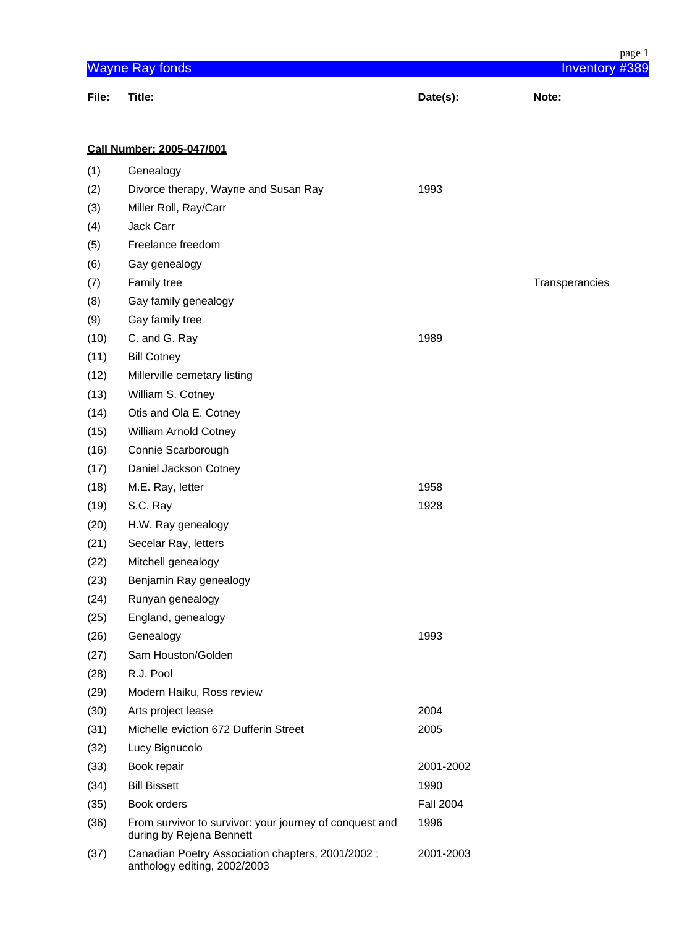| page 1 |                                                                                     |                  |                |
|--------|-------------------------------------------------------------------------------------|------------------|----------------|
|        | <b>Wayne Ray fonds</b>                                                              |                  | Inventory #389 |
| File:  | Title:                                                                              | Date(s):         | Note:          |
|        |                                                                                     |                  |                |
|        | <b>Call Number: 2005-047/001</b>                                                    |                  |                |
| (1)    | Genealogy                                                                           |                  |                |
| (2)    | Divorce therapy, Wayne and Susan Ray                                                | 1993             |                |
| (3)    | Miller Roll, Ray/Carr                                                               |                  |                |
| (4)    | Jack Carr                                                                           |                  |                |
| (5)    | Freelance freedom                                                                   |                  |                |
| (6)    | Gay genealogy                                                                       |                  |                |
| (7)    | Family tree                                                                         |                  | Transperancies |
| (8)    | Gay family genealogy                                                                |                  |                |
| (9)    | Gay family tree                                                                     |                  |                |
| (10)   | C. and G. Ray                                                                       | 1989             |                |
| (11)   | <b>Bill Cotney</b>                                                                  |                  |                |
| (12)   | Millerville cemetary listing                                                        |                  |                |
| (13)   | William S. Cotney                                                                   |                  |                |
| (14)   | Otis and Ola E. Cotney                                                              |                  |                |
| (15)   | <b>William Arnold Cotney</b>                                                        |                  |                |
| (16)   | Connie Scarborough                                                                  |                  |                |
| (17)   | Daniel Jackson Cotney                                                               |                  |                |
| (18)   | M.E. Ray, letter                                                                    | 1958             |                |
| (19)   | S.C. Ray                                                                            | 1928             |                |
| (20)   | H.W. Ray genealogy                                                                  |                  |                |
| (21)   | Secelar Ray, letters                                                                |                  |                |
| (22)   | Mitchell genealogy                                                                  |                  |                |
| (23)   | Benjamin Ray genealogy                                                              |                  |                |
| (24)   | Runyan genealogy                                                                    |                  |                |
| (25)   | England, genealogy                                                                  |                  |                |
| (26)   | Genealogy                                                                           | 1993             |                |
| (27)   | Sam Houston/Golden                                                                  |                  |                |
| (28)   | R.J. Pool                                                                           |                  |                |
| (29)   | Modern Haiku, Ross review                                                           |                  |                |
| (30)   | Arts project lease                                                                  | 2004             |                |
| (31)   | Michelle eviction 672 Dufferin Street                                               | 2005             |                |
| (32)   | Lucy Bignucolo                                                                      |                  |                |
| (33)   | Book repair                                                                         | 2001-2002        |                |
| (34)   | <b>Bill Bissett</b>                                                                 | 1990             |                |
| (35)   | Book orders                                                                         | <b>Fall 2004</b> |                |
| (36)   | From survivor to survivor: your journey of conquest and<br>during by Rejena Bennett | 1996             |                |
| (37)   | Canadian Poetry Association chapters, 2001/2002;<br>anthology editing, 2002/2003    | 2001-2003        |                |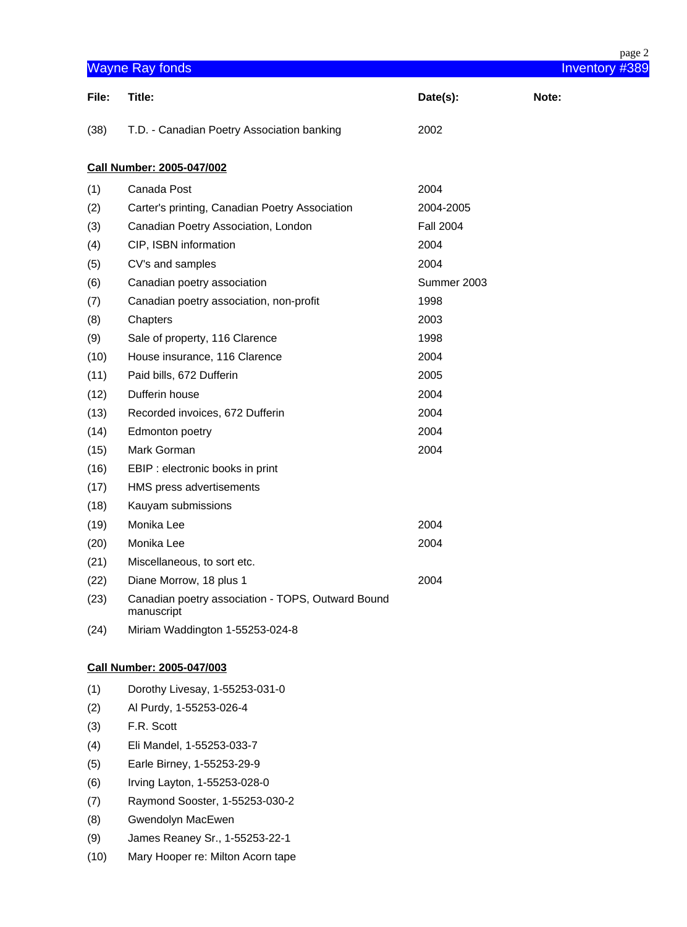|       |                                                                 |                  | page 2         |
|-------|-----------------------------------------------------------------|------------------|----------------|
|       | <b>Wayne Ray fonds</b>                                          |                  | Inventory #389 |
| File: | Title:                                                          | Date(s):         | Note:          |
| (38)  | T.D. - Canadian Poetry Association banking                      | 2002             |                |
|       | Call Number: 2005-047/002                                       |                  |                |
| (1)   | Canada Post                                                     | 2004             |                |
| (2)   | Carter's printing, Canadian Poetry Association                  | 2004-2005        |                |
| (3)   | Canadian Poetry Association, London                             | <b>Fall 2004</b> |                |
| (4)   | CIP, ISBN information                                           | 2004             |                |
| (5)   | CV's and samples                                                | 2004             |                |
| (6)   | Canadian poetry association                                     | Summer 2003      |                |
| (7)   | Canadian poetry association, non-profit                         | 1998             |                |
| (8)   | Chapters                                                        | 2003             |                |
| (9)   | Sale of property, 116 Clarence                                  | 1998             |                |
| (10)  | House insurance, 116 Clarence                                   | 2004             |                |
| (11)  | Paid bills, 672 Dufferin                                        | 2005             |                |
| (12)  | Dufferin house                                                  | 2004             |                |
| (13)  | Recorded invoices, 672 Dufferin                                 | 2004             |                |
| (14)  | Edmonton poetry                                                 | 2004             |                |
| (15)  | Mark Gorman                                                     | 2004             |                |
| (16)  | EBIP : electronic books in print                                |                  |                |
| (17)  | HMS press advertisements                                        |                  |                |
| (18)  | Kauyam submissions                                              |                  |                |
| (19)  | Monika Lee                                                      | 2004             |                |
| (20)  | Monika Lee                                                      | 2004             |                |
| (21)  | Miscellaneous, to sort etc.                                     |                  |                |
| (22)  | Diane Morrow, 18 plus 1                                         | 2004             |                |
| (23)  | Canadian poetry association - TOPS, Outward Bound<br>manuscript |                  |                |
| (24)  | Miriam Waddington 1-55253-024-8                                 |                  |                |
|       | <b>Call Number: 2005-047/003</b>                                |                  |                |
| (1)   | Dorothy Livesay, 1-55253-031-0                                  |                  |                |
| (2)   | Al Purdy, 1-55253-026-4                                         |                  |                |
| (3)   | F.R. Scott                                                      |                  |                |
| (4)   | Eli Mandel, 1-55253-033-7                                       |                  |                |
| (5)   | Earle Birney, 1-55253-29-9                                      |                  |                |
| (6)   | Irving Layton, 1-55253-028-0                                    |                  |                |
| (7)   | Raymond Sooster, 1-55253-030-2                                  |                  |                |
| (8)   | Gwendolyn MacEwen                                               |                  |                |
| (9)   | James Reaney Sr., 1-55253-22-1                                  |                  |                |
| (10)  | Mary Hooper re: Milton Acorn tape                               |                  |                |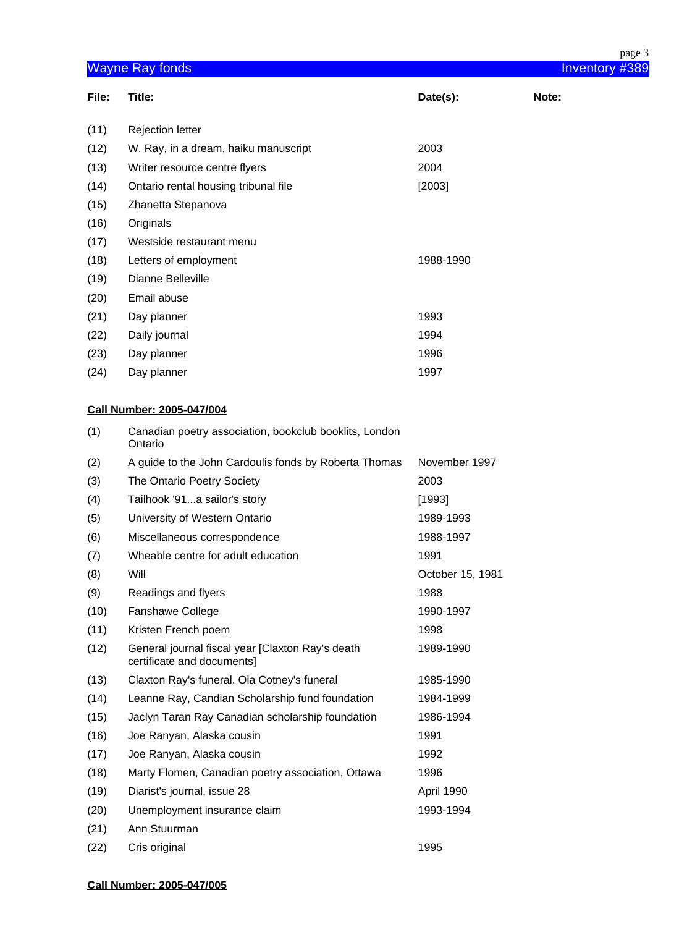|                                          |                                                                                |                  | page 3 |
|------------------------------------------|--------------------------------------------------------------------------------|------------------|--------|
| <b>Wayne Ray fonds</b><br>Inventory #389 |                                                                                |                  |        |
| File:                                    | Title:                                                                         | Date(s):         | Note:  |
| (11)                                     | <b>Rejection letter</b>                                                        |                  |        |
| (12)                                     | W. Ray, in a dream, haiku manuscript                                           | 2003             |        |
| (13)                                     | Writer resource centre flyers                                                  | 2004             |        |
| (14)                                     | Ontario rental housing tribunal file                                           | [2003]           |        |
| (15)                                     | Zhanetta Stepanova                                                             |                  |        |
| (16)                                     | Originals                                                                      |                  |        |
| (17)                                     | Westside restaurant menu                                                       |                  |        |
| (18)                                     | Letters of employment                                                          | 1988-1990        |        |
| (19)                                     | Dianne Belleville                                                              |                  |        |
| (20)                                     | Email abuse                                                                    |                  |        |
| (21)                                     | Day planner                                                                    | 1993             |        |
| (22)                                     | Daily journal                                                                  | 1994             |        |
| (23)                                     | Day planner                                                                    | 1996             |        |
| (24)                                     | Day planner                                                                    | 1997             |        |
|                                          | <b>Call Number: 2005-047/004</b>                                               |                  |        |
| (1)                                      | Canadian poetry association, bookclub booklits, London<br>Ontario              |                  |        |
| (2)                                      | A guide to the John Cardoulis fonds by Roberta Thomas                          | November 1997    |        |
| (3)                                      | The Ontario Poetry Society                                                     | 2003             |        |
| (4)                                      | Tailhook '91a sailor's story                                                   | [1993]           |        |
| (5)                                      | University of Western Ontario                                                  | 1989-1993        |        |
| (6)                                      | Miscellaneous correspondence                                                   | 1988-1997        |        |
| (7)                                      | Wheable centre for adult education                                             | 1991             |        |
| (8)                                      | Will                                                                           | October 15, 1981 |        |
| (9)                                      | Readings and flyers                                                            | 1988             |        |
| (10)                                     | Fanshawe College                                                               | 1990-1997        |        |
| (11)                                     | Kristen French poem                                                            | 1998             |        |
| (12)                                     | General journal fiscal year [Claxton Ray's death<br>certificate and documents] | 1989-1990        |        |
| (13)                                     | Claxton Ray's funeral, Ola Cotney's funeral                                    | 1985-1990        |        |
| (14)                                     | Leanne Ray, Candian Scholarship fund foundation                                | 1984-1999        |        |
| (15)                                     | Jaclyn Taran Ray Canadian scholarship foundation                               | 1986-1994        |        |
| (16)                                     | Joe Ranyan, Alaska cousin                                                      | 1991             |        |
| (17)                                     | Joe Ranyan, Alaska cousin                                                      | 1992             |        |
| (18)                                     | Marty Flomen, Canadian poetry association, Ottawa                              | 1996             |        |
| (19)                                     | Diarist's journal, issue 28                                                    | April 1990       |        |
| (20)                                     | Unemployment insurance claim                                                   | 1993-1994        |        |
| (21)                                     | Ann Stuurman                                                                   |                  |        |
| (22)                                     | Cris original                                                                  | 1995             |        |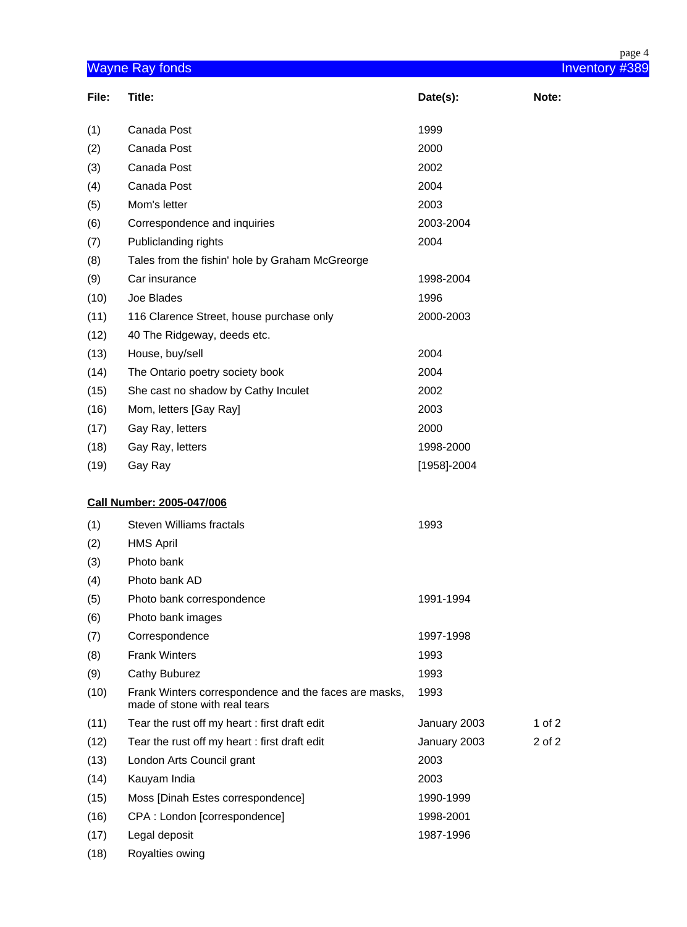|       |                                                                                        |              | page 4         |
|-------|----------------------------------------------------------------------------------------|--------------|----------------|
|       | <b>Wayne Ray fonds</b>                                                                 |              | Inventory #389 |
| File: | Title:                                                                                 | Date(s):     | Note:          |
| (1)   | Canada Post                                                                            | 1999         |                |
| (2)   | Canada Post                                                                            | 2000         |                |
| (3)   | Canada Post                                                                            | 2002         |                |
| (4)   | Canada Post                                                                            | 2004         |                |
| (5)   | Mom's letter                                                                           | 2003         |                |
| (6)   | Correspondence and inquiries                                                           | 2003-2004    |                |
| (7)   | Publiclanding rights                                                                   | 2004         |                |
| (8)   | Tales from the fishin' hole by Graham McGreorge                                        |              |                |
| (9)   | Car insurance                                                                          | 1998-2004    |                |
| (10)  | Joe Blades                                                                             | 1996         |                |
| (11)  | 116 Clarence Street, house purchase only                                               | 2000-2003    |                |
| (12)  | 40 The Ridgeway, deeds etc.                                                            |              |                |
| (13)  | House, buy/sell                                                                        | 2004         |                |
| (14)  | The Ontario poetry society book                                                        | 2004         |                |
| (15)  | She cast no shadow by Cathy Inculet                                                    | 2002         |                |
| (16)  | Mom, letters [Gay Ray]                                                                 | 2003         |                |
| (17)  | Gay Ray, letters                                                                       | 2000         |                |
| (18)  | Gay Ray, letters                                                                       | 1998-2000    |                |
| (19)  | Gay Ray                                                                                | [1958]-2004  |                |
|       | <b>Call Number: 2005-047/006</b>                                                       |              |                |
| (1)   | <b>Steven Williams fractals</b>                                                        | 1993         |                |
| (2)   | <b>HMS April</b>                                                                       |              |                |
| (3)   | Photo bank                                                                             |              |                |
| (4)   | Photo bank AD                                                                          |              |                |
| (5)   | Photo bank correspondence                                                              | 1991-1994    |                |
| (6)   | Photo bank images                                                                      |              |                |
| (7)   | Correspondence                                                                         | 1997-1998    |                |
| (8)   | <b>Frank Winters</b>                                                                   | 1993         |                |
| (9)   | Cathy Buburez                                                                          | 1993         |                |
| (10)  | Frank Winters correspondence and the faces are masks,<br>made of stone with real tears | 1993         |                |
| (11)  | Tear the rust off my heart: first draft edit                                           | January 2003 | 1 of $2$       |
| (12)  | Tear the rust off my heart: first draft edit                                           | January 2003 | 2 of 2         |
| (13)  | London Arts Council grant                                                              | 2003         |                |
| (14)  | Kauyam India                                                                           | 2003         |                |
| (15)  | Moss [Dinah Estes correspondence]                                                      | 1990-1999    |                |
| (16)  | CPA: London [correspondence]                                                           | 1998-2001    |                |
| (17)  | Legal deposit                                                                          | 1987-1996    |                |
| (18)  | Royalties owing                                                                        |              |                |